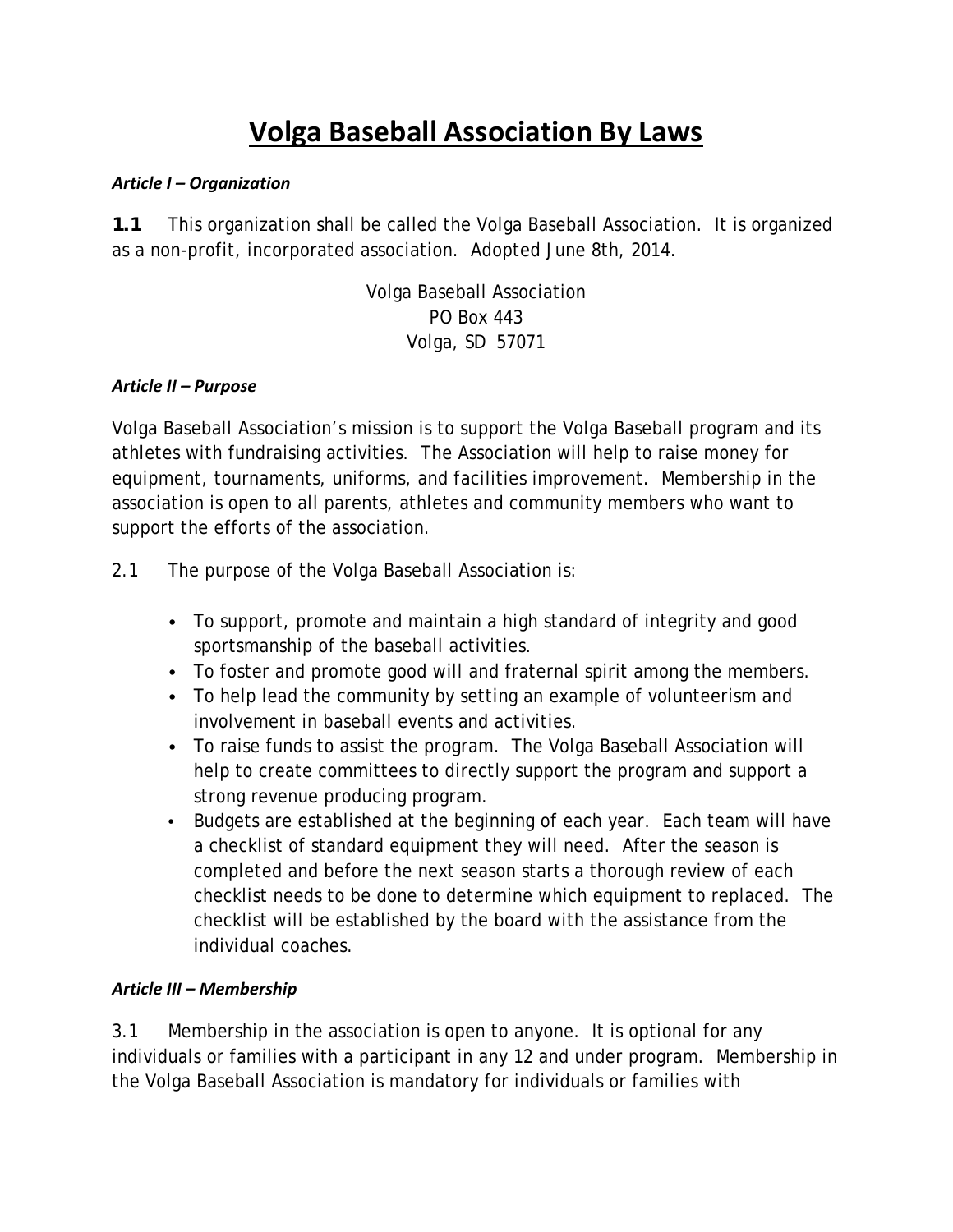# **Volga Baseball Association By Laws**

#### *Article I – Organization*

*1.1* This organization shall be called the Volga Baseball Association. It is organized as a non-profit, incorporated association. Adopted June 8th, 2014.

> Volga Baseball Association PO Box 443 Volga, SD 57071

#### *Article II – Purpose*

Volga Baseball Association's mission is to support the Volga Baseball program and its athletes with fundraising activities. The Association will help to raise money for equipment, tournaments, uniforms, and facilities improvement. Membership in the association is open to all parents, athletes and community members who want to support the efforts of the association.

- 2.1 The purpose of the Volga Baseball Association is:
	- To support, promote and maintain a high standard of integrity and good sportsmanship of the baseball activities.
	- To foster and promote good will and fraternal spirit among the members.
	- To help lead the community by setting an example of volunteerism and involvement in baseball events and activities.
	- To raise funds to assist the program. The Volga Baseball Association will help to create committees to directly support the program and support a strong revenue producing program.
	- Budgets are established at the beginning of each year. Each team will have a checklist of standard equipment they will need. After the season is completed and before the next season starts a thorough review of each checklist needs to be done to determine which equipment to replaced. The checklist will be established by the board with the assistance from the individual coaches.

#### *Article III – Membership*

3.1 Membership in the association is open to anyone. It is optional for any individuals or families with a participant in any 12 and under program. Membership in the Volga Baseball Association is mandatory for individuals or families with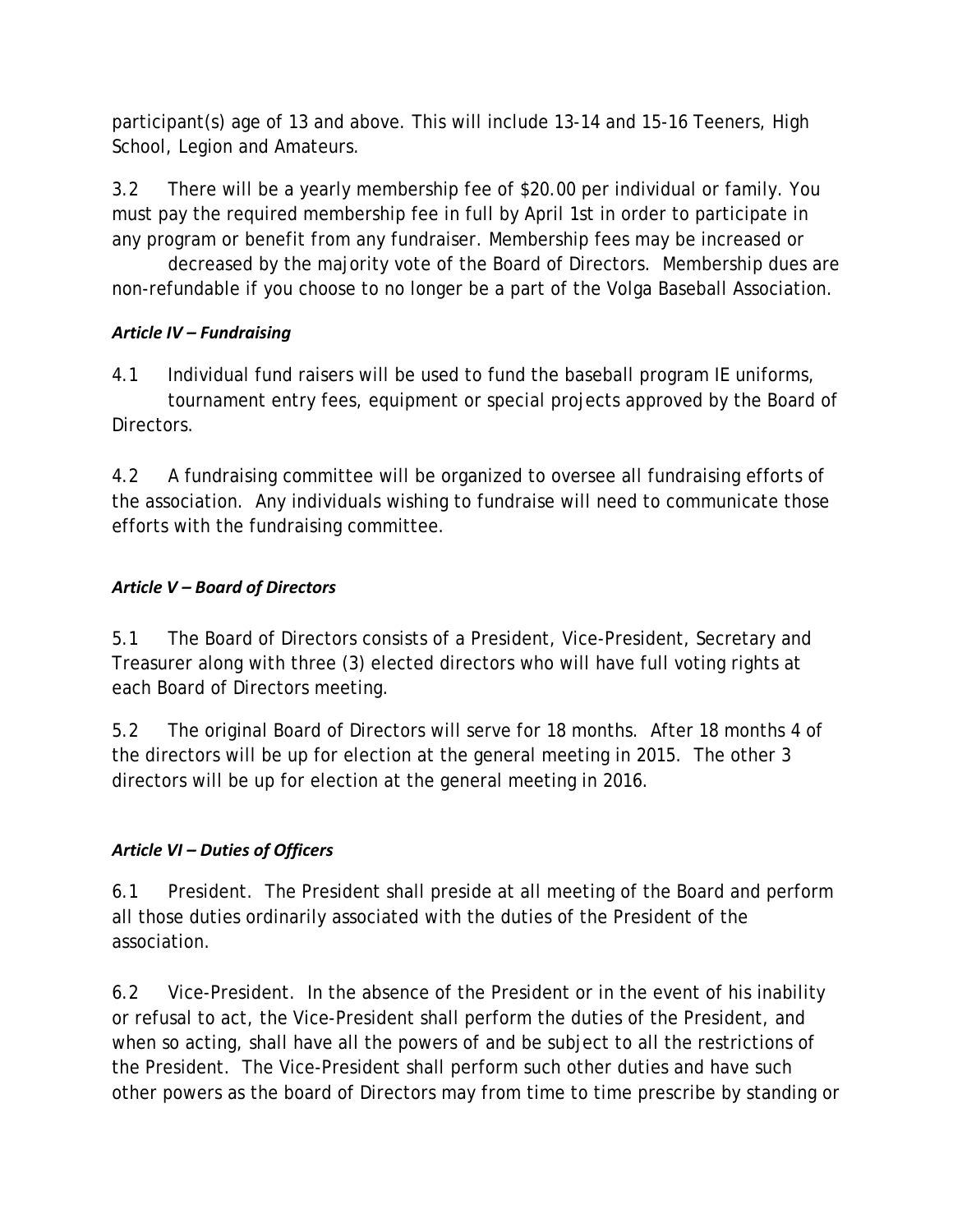participant(s) age of 13 and above. This will include 13-14 and 15-16 Teeners, High School, Legion and Amateurs.

3.2 There will be a yearly membership fee of \$20.00 per individual or family. You must pay the required membership fee in full by April 1st in order to participate in any program or benefit from any fundraiser. Membership fees may be increased or

 decreased by the majority vote of the Board of Directors. Membership dues are non-refundable if you choose to no longer be a part of the Volga Baseball Association.

## *Article IV – Fundraising*

4.1 Individual fund raisers will be used to fund the baseball program IE uniforms, tournament entry fees, equipment or special projects approved by the Board of Directors.

4.2 A fundraising committee will be organized to oversee all fundraising efforts of the association. Any individuals wishing to fundraise will need to communicate those efforts with the fundraising committee.

## *Article V – Board of Directors*

5.1 The Board of Directors consists of a President, Vice-President, Secretary and Treasurer along with three (3) elected directors who will have full voting rights at each Board of Directors meeting.

5.2 The original Board of Directors will serve for 18 months. After 18 months 4 of the directors will be up for election at the general meeting in 2015. The other 3 directors will be up for election at the general meeting in 2016.

#### *Article VI – Duties of Officers*

6.1 President. The President shall preside at all meeting of the Board and perform all those duties ordinarily associated with the duties of the President of the association.

6.2 Vice-President. In the absence of the President or in the event of his inability or refusal to act, the Vice-President shall perform the duties of the President, and when so acting, shall have all the powers of and be subject to all the restrictions of the President. The Vice-President shall perform such other duties and have such other powers as the board of Directors may from time to time prescribe by standing or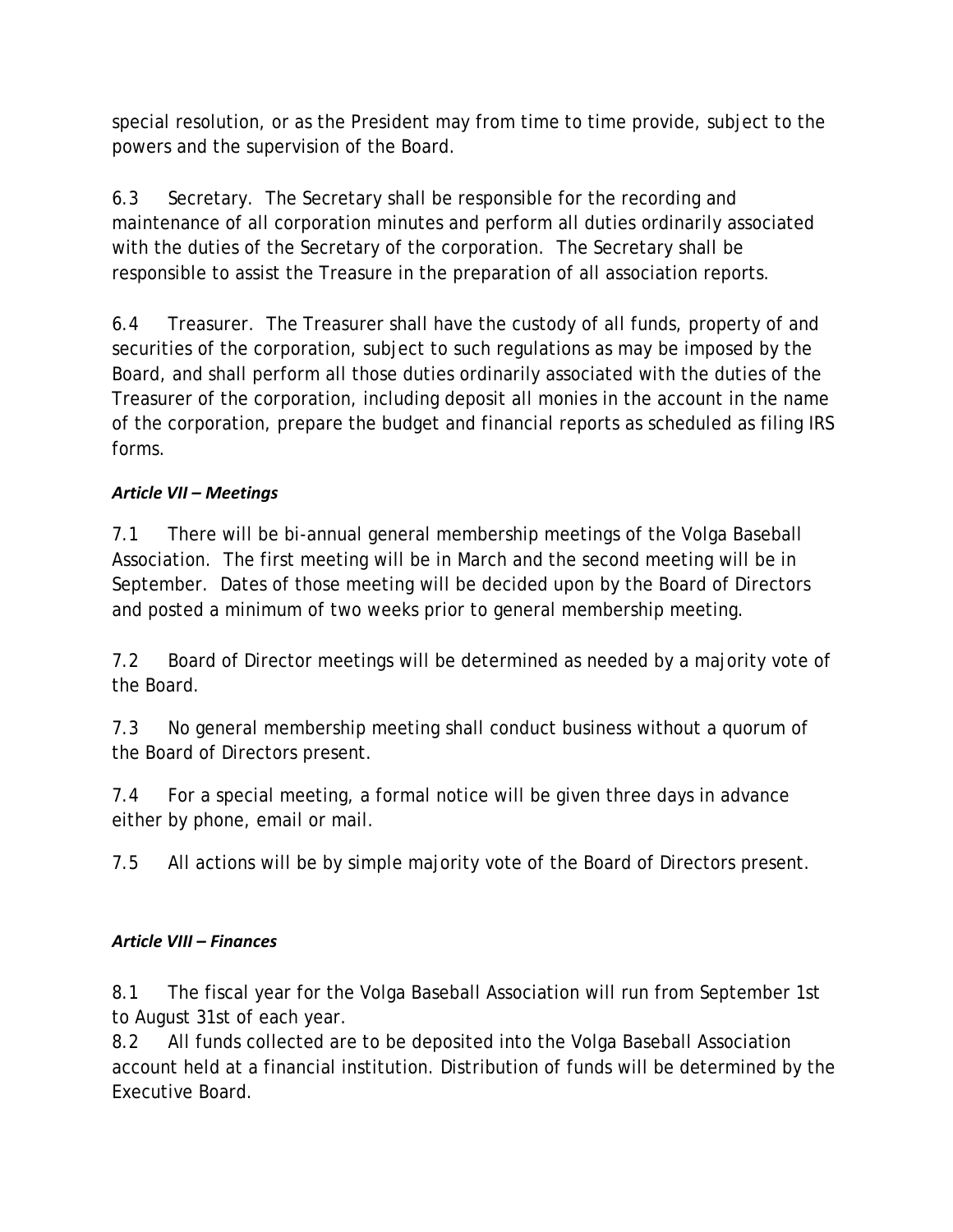special resolution, or as the President may from time to time provide, subject to the powers and the supervision of the Board.

6.3 Secretary. The Secretary shall be responsible for the recording and maintenance of all corporation minutes and perform all duties ordinarily associated with the duties of the Secretary of the corporation. The Secretary shall be responsible to assist the Treasure in the preparation of all association reports.

6.4 Treasurer. The Treasurer shall have the custody of all funds, property of and securities of the corporation, subject to such regulations as may be imposed by the Board, and shall perform all those duties ordinarily associated with the duties of the Treasurer of the corporation, including deposit all monies in the account in the name of the corporation, prepare the budget and financial reports as scheduled as filing IRS forms.

# *Article VII – Meetings*

7.1 There will be bi-annual general membership meetings of the Volga Baseball Association. The first meeting will be in March and the second meeting will be in September. Dates of those meeting will be decided upon by the Board of Directors and posted a minimum of two weeks prior to general membership meeting.

7.2 Board of Director meetings will be determined as needed by a majority vote of the Board.

7.3 No general membership meeting shall conduct business without a quorum of the Board of Directors present.

7.4 For a special meeting, a formal notice will be given three days in advance either by phone, email or mail.

7.5 All actions will be by simple majority vote of the Board of Directors present.

# *Article VIII – Finances*

8.1 The fiscal year for the Volga Baseball Association will run from September 1st to August 31st of each year.

8.2 All funds collected are to be deposited into the Volga Baseball Association account held at a financial institution. Distribution of funds will be determined by the Executive Board.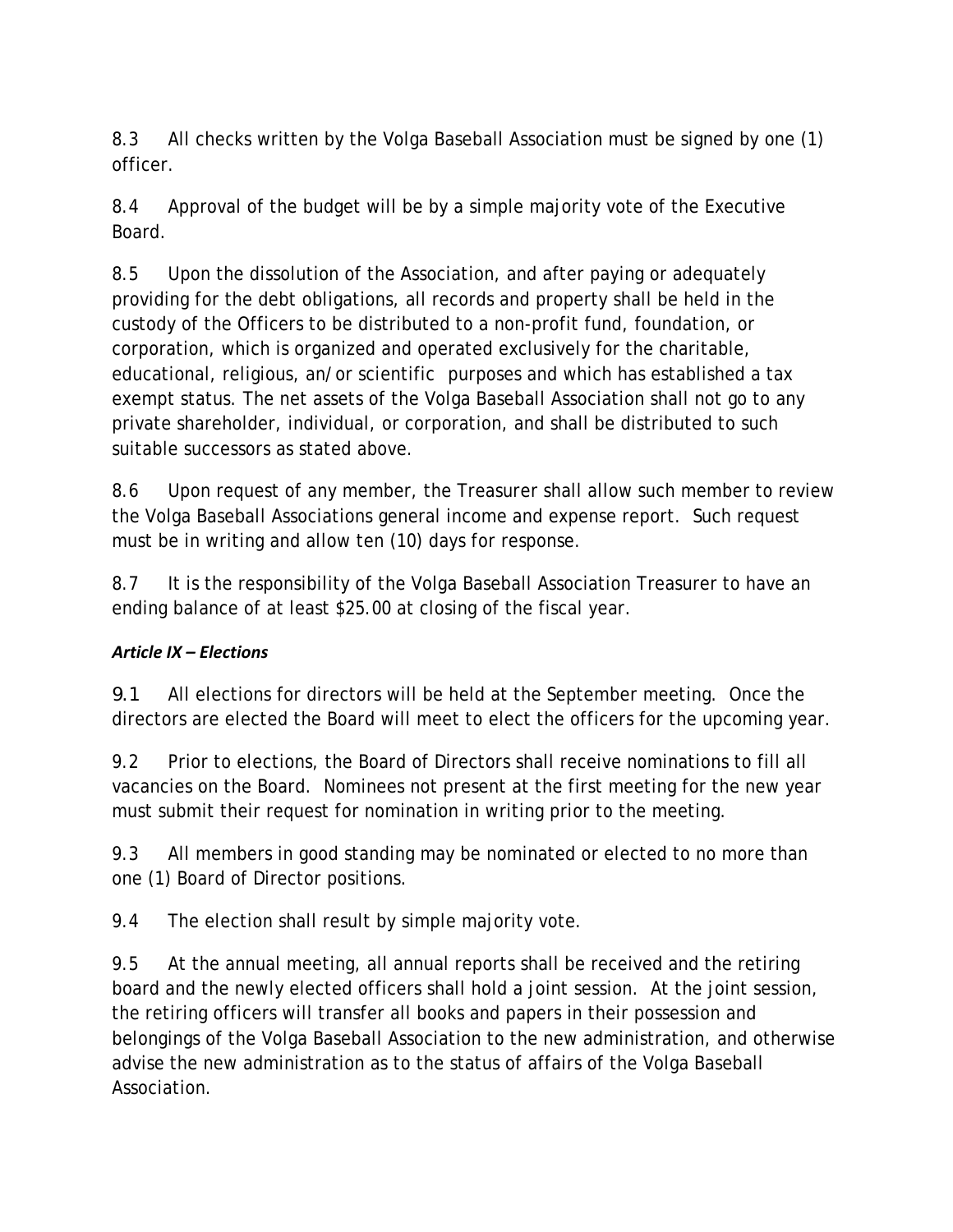8.3 All checks written by the Volga Baseball Association must be signed by one (1) officer.

8.4 Approval of the budget will be by a simple majority vote of the Executive Board.

8.5 Upon the dissolution of the Association, and after paying or adequately providing for the debt obligations, all records and property shall be held in the custody of the Officers to be distributed to a non-profit fund, foundation, or corporation, which is organized and operated exclusively for the charitable, educational, religious, an/or scientific purposes and which has established a tax exempt status. The net assets of the Volga Baseball Association shall not go to any private shareholder, individual, or corporation, and shall be distributed to such suitable successors as stated above.

8.6 Upon request of any member, the Treasurer shall allow such member to review the Volga Baseball Associations general income and expense report. Such request must be in writing and allow ten (10) days for response.

8.7 It is the responsibility of the Volga Baseball Association Treasurer to have an ending balance of at least \$25.00 at closing of the fiscal year.

# *Article IX – Elections*

*9.1* All elections for directors will be held at the September meeting. Once the directors are elected the Board will meet to elect the officers for the upcoming year.

9.2 Prior to elections, the Board of Directors shall receive nominations to fill all vacancies on the Board. Nominees not present at the first meeting for the new year must submit their request for nomination in writing prior to the meeting.

9.3 All members in good standing may be nominated or elected to no more than one (1) Board of Director positions.

9.4 The election shall result by simple majority vote.

9.5 At the annual meeting, all annual reports shall be received and the retiring board and the newly elected officers shall hold a joint session. At the joint session, the retiring officers will transfer all books and papers in their possession and belongings of the Volga Baseball Association to the new administration, and otherwise advise the new administration as to the status of affairs of the Volga Baseball Association.